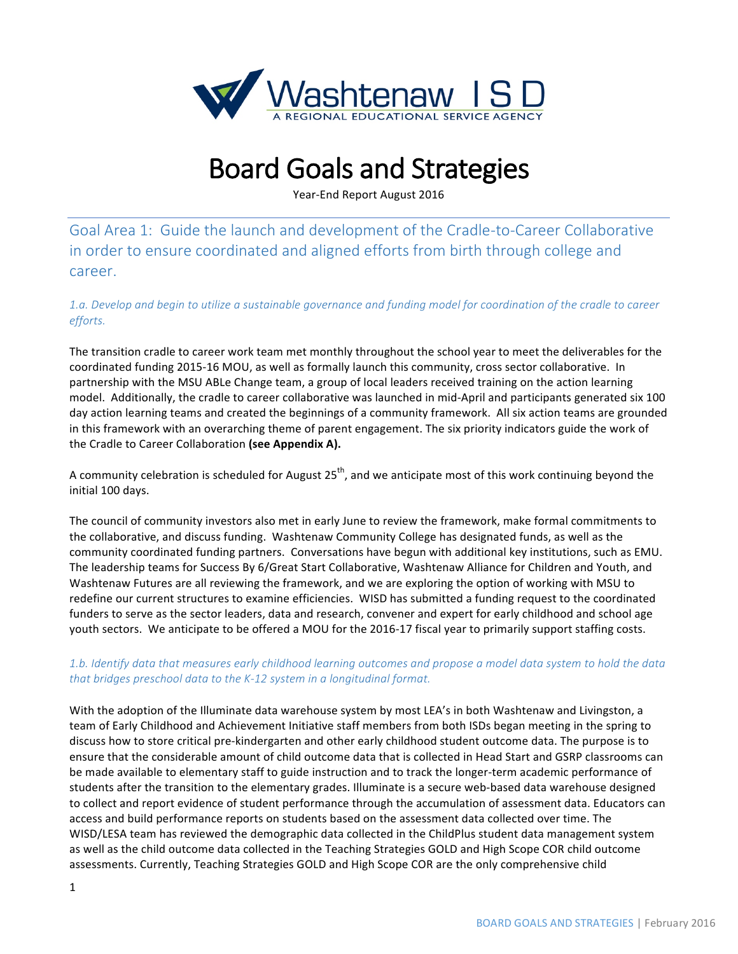

# **Board Goals and Strategies**

Year-End Report August 2016

Goal Area 1: Guide the launch and development of the Cradle-to-Career Collaborative in order to ensure coordinated and aligned efforts from birth through college and career.

1.a. Develop and begin to utilize a sustainable governance and funding model for coordination of the cradle to career *efforts.*

The transition cradle to career work team met monthly throughout the school year to meet the deliverables for the coordinated funding 2015-16 MOU, as well as formally launch this community, cross sector collaborative. In partnership with the MSU ABLe Change team, a group of local leaders received training on the action learning model. Additionally, the cradle to career collaborative was launched in mid-April and participants generated six 100 day action learning teams and created the beginnings of a community framework. All six action teams are grounded in this framework with an overarching theme of parent engagement. The six priority indicators guide the work of the Cradle to Career Collaboration (see Appendix A).

A community celebration is scheduled for August  $25<sup>th</sup>$ , and we anticipate most of this work continuing beyond the initial 100 days.

The council of community investors also met in early June to review the framework, make formal commitments to the collaborative, and discuss funding. Washtenaw Community College has designated funds, as well as the community coordinated funding partners. Conversations have begun with additional key institutions, such as EMU. The leadership teams for Success By 6/Great Start Collaborative, Washtenaw Alliance for Children and Youth, and Washtenaw Futures are all reviewing the framework, and we are exploring the option of working with MSU to redefine our current structures to examine efficiencies. WISD has submitted a funding request to the coordinated funders to serve as the sector leaders, data and research, convener and expert for early childhood and school age youth sectors. We anticipate to be offered a MOU for the 2016-17 fiscal year to primarily support staffing costs.

#### 1.b. Identify data that measures early childhood learning outcomes and propose a model data system to hold the data that bridges preschool data to the K-12 system in a longitudinal format.

With the adoption of the Illuminate data warehouse system by most LEA's in both Washtenaw and Livingston, a team of Early Childhood and Achievement Initiative staff members from both ISDs began meeting in the spring to discuss how to store critical pre-kindergarten and other early childhood student outcome data. The purpose is to ensure that the considerable amount of child outcome data that is collected in Head Start and GSRP classrooms can be made available to elementary staff to guide instruction and to track the longer-term academic performance of students after the transition to the elementary grades. Illuminate is a secure web-based data warehouse designed to collect and report evidence of student performance through the accumulation of assessment data. Educators can access and build performance reports on students based on the assessment data collected over time. The WISD/LESA team has reviewed the demographic data collected in the ChildPlus student data management system as well as the child outcome data collected in the Teaching Strategies GOLD and High Scope COR child outcome assessments. Currently, Teaching Strategies GOLD and High Scope COR are the only comprehensive child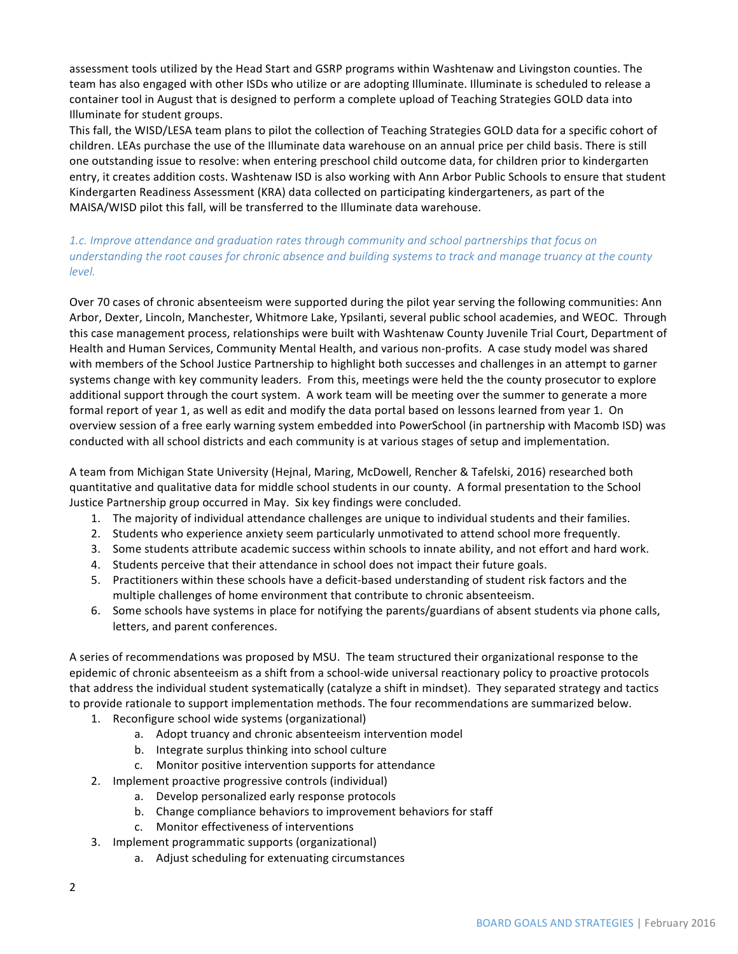assessment tools utilized by the Head Start and GSRP programs within Washtenaw and Livingston counties. The team has also engaged with other ISDs who utilize or are adopting Illuminate. Illuminate is scheduled to release a container tool in August that is designed to perform a complete upload of Teaching Strategies GOLD data into Illuminate for student groups.

This fall, the WISD/LESA team plans to pilot the collection of Teaching Strategies GOLD data for a specific cohort of children. LEAs purchase the use of the Illuminate data warehouse on an annual price per child basis. There is still one outstanding issue to resolve: when entering preschool child outcome data, for children prior to kindergarten entry, it creates addition costs. Washtenaw ISD is also working with Ann Arbor Public Schools to ensure that student Kindergarten Readiness Assessment (KRA) data collected on participating kindergarteners, as part of the MAISA/WISD pilot this fall, will be transferred to the Illuminate data warehouse.

#### 1.c. *Improve attendance and graduation rates through community and school partnerships that focus on* understanding the root causes for chronic absence and building systems to track and manage truancy at the county *level.*

Over 70 cases of chronic absenteeism were supported during the pilot year serving the following communities: Ann Arbor, Dexter, Lincoln, Manchester, Whitmore Lake, Ypsilanti, several public school academies, and WEOC. Through this case management process, relationships were built with Washtenaw County Juvenile Trial Court, Department of Health and Human Services, Community Mental Health, and various non-profits. A case study model was shared with members of the School Justice Partnership to highlight both successes and challenges in an attempt to garner systems change with key community leaders. From this, meetings were held the the county prosecutor to explore additional support through the court system. A work team will be meeting over the summer to generate a more formal report of year 1, as well as edit and modify the data portal based on lessons learned from year 1. On overview session of a free early warning system embedded into PowerSchool (in partnership with Macomb ISD) was conducted with all school districts and each community is at various stages of setup and implementation.

A team from Michigan State University (Hejnal, Maring, McDowell, Rencher & Tafelski, 2016) researched both quantitative and qualitative data for middle school students in our county. A formal presentation to the School Justice Partnership group occurred in May. Six key findings were concluded.

- 1. The majority of individual attendance challenges are unique to individual students and their families.
- 2. Students who experience anxiety seem particularly unmotivated to attend school more frequently.
- 3. Some students attribute academic success within schools to innate ability, and not effort and hard work.
- 4. Students perceive that their attendance in school does not impact their future goals.
- 5. Practitioners within these schools have a deficit-based understanding of student risk factors and the multiple challenges of home environment that contribute to chronic absenteeism.
- 6. Some schools have systems in place for notifying the parents/guardians of absent students via phone calls, letters, and parent conferences.

A series of recommendations was proposed by MSU. The team structured their organizational response to the epidemic of chronic absenteeism as a shift from a school-wide universal reactionary policy to proactive protocols that address the individual student systematically (catalyze a shift in mindset). They separated strategy and tactics to provide rationale to support implementation methods. The four recommendations are summarized below.

- 1. Reconfigure school wide systems (organizational)
	- a. Adopt truancy and chronic absenteeism intervention model
	- b. Integrate surplus thinking into school culture
	- c. Monitor positive intervention supports for attendance
- 2. Implement proactive progressive controls (individual)
	- a. Develop personalized early response protocols
	- b. Change compliance behaviors to improvement behaviors for staff
	- c. Monitor effectiveness of interventions
- 3. Implement programmatic supports (organizational)
	- a. Adjust scheduling for extenuating circumstances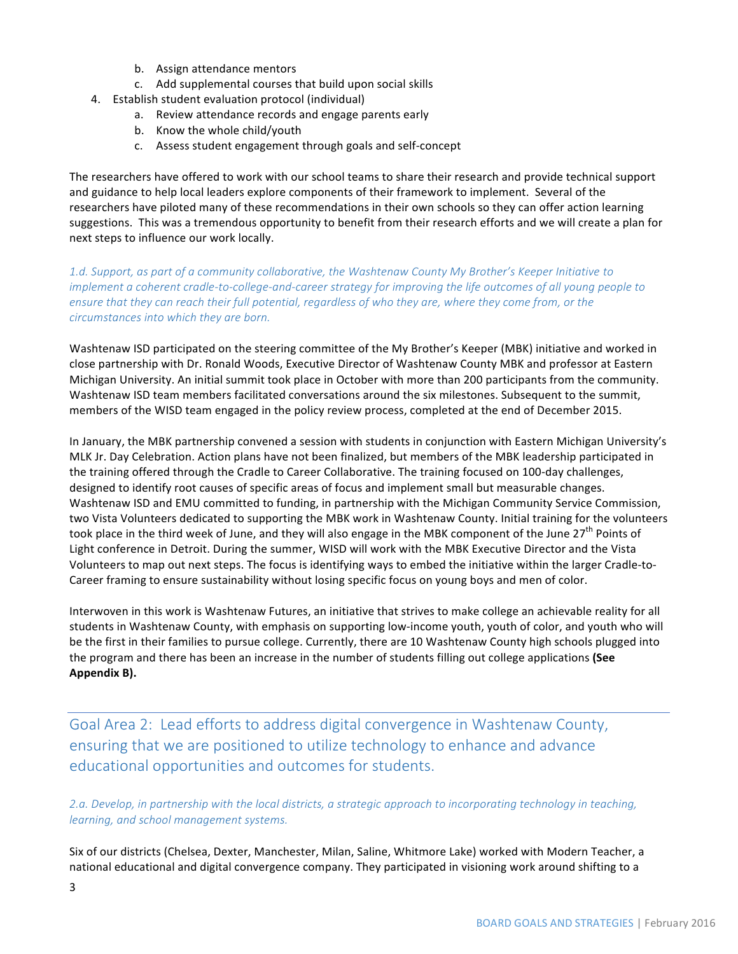- b. Assign attendance mentors
- c. Add supplemental courses that build upon social skills
- 4. Establish student evaluation protocol (individual)
	- a. Review attendance records and engage parents early
	- b. Know the whole child/youth
	- c. Assess student engagement through goals and self-concept

The researchers have offered to work with our school teams to share their research and provide technical support and guidance to help local leaders explore components of their framework to implement. Several of the researchers have piloted many of these recommendations in their own schools so they can offer action learning suggestions. This was a tremendous opportunity to benefit from their research efforts and we will create a plan for next steps to influence our work locally.

1.d. Support, as part of a community collaborative, the Washtenaw County My Brother's Keeper Initiative to implement a coherent cradle-to-college-and-career strategy for improving the life outcomes of all young people to ensure that they can reach their full potential, regardless of who they are, where they come from, or the circumstances into which they are born.

Washtenaw ISD participated on the steering committee of the My Brother's Keeper (MBK) initiative and worked in close partnership with Dr. Ronald Woods, Executive Director of Washtenaw County MBK and professor at Eastern Michigan University. An initial summit took place in October with more than 200 participants from the community. Washtenaw ISD team members facilitated conversations around the six milestones. Subsequent to the summit, members of the WISD team engaged in the policy review process, completed at the end of December 2015.

In January, the MBK partnership convened a session with students in conjunction with Eastern Michigan University's MLK Jr. Day Celebration. Action plans have not been finalized, but members of the MBK leadership participated in the training offered through the Cradle to Career Collaborative. The training focused on 100-day challenges, designed to identify root causes of specific areas of focus and implement small but measurable changes. Washtenaw ISD and EMU committed to funding, in partnership with the Michigan Community Service Commission, two Vista Volunteers dedicated to supporting the MBK work in Washtenaw County. Initial training for the volunteers took place in the third week of June, and they will also engage in the MBK component of the June 27<sup>th</sup> Points of Light conference in Detroit. During the summer, WISD will work with the MBK Executive Director and the Vista Volunteers to map out next steps. The focus is identifying ways to embed the initiative within the larger Cradle-to-Career framing to ensure sustainability without losing specific focus on young boys and men of color.

Interwoven in this work is Washtenaw Futures, an initiative that strives to make college an achievable reality for all students in Washtenaw County, with emphasis on supporting low-income youth, youth of color, and youth who will be the first in their families to pursue college. Currently, there are 10 Washtenaw County high schools plugged into the program and there has been an increase in the number of students filling out college applications (See Appendix B).

Goal Area 2: Lead efforts to address digital convergence in Washtenaw County, ensuring that we are positioned to utilize technology to enhance and advance educational opportunities and outcomes for students.

2.a. Develop, in partnership with the local districts, a strategic approach to incorporating technology in teaching, learning, and school management systems.

Six of our districts (Chelsea, Dexter, Manchester, Milan, Saline, Whitmore Lake) worked with Modern Teacher, a national educational and digital convergence company. They participated in visioning work around shifting to a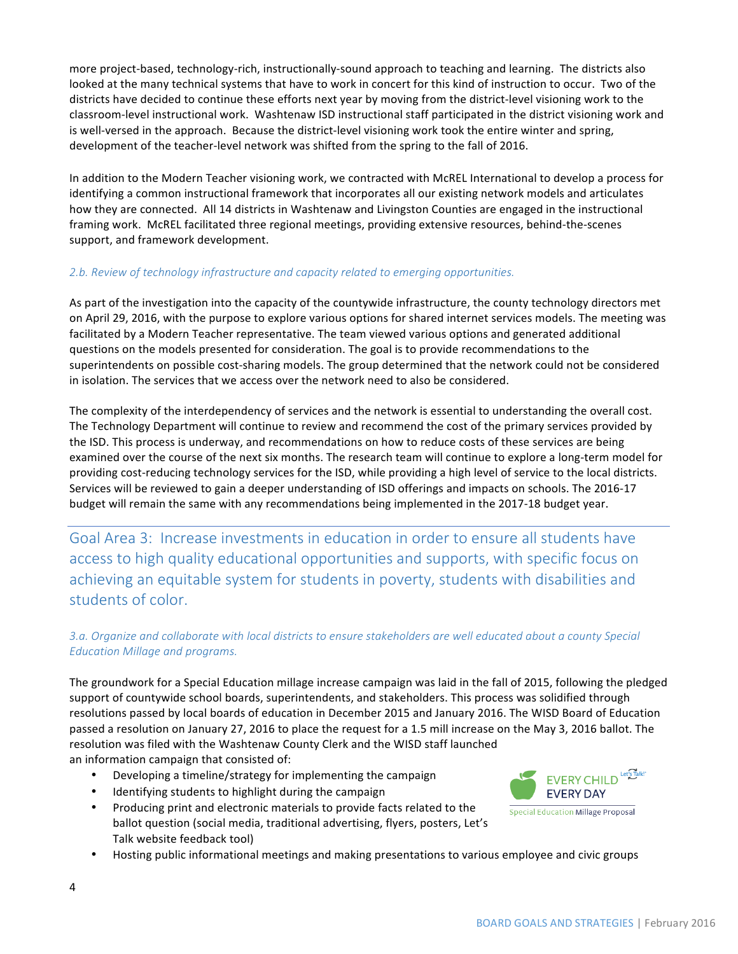more project-based, technology-rich, instructionally-sound approach to teaching and learning. The districts also looked at the many technical systems that have to work in concert for this kind of instruction to occur. Two of the districts have decided to continue these efforts next year by moving from the district-level visioning work to the classroom-level instructional work. Washtenaw ISD instructional staff participated in the district visioning work and is well-versed in the approach. Because the district-level visioning work took the entire winter and spring, development of the teacher-level network was shifted from the spring to the fall of 2016.

In addition to the Modern Teacher visioning work, we contracted with McREL International to develop a process for identifying a common instructional framework that incorporates all our existing network models and articulates how they are connected. All 14 districts in Washtenaw and Livingston Counties are engaged in the instructional framing work. McREL facilitated three regional meetings, providing extensive resources, behind-the-scenes support, and framework development.

### 2.b. Review of technology *infrastructure and capacity related to emerging opportunities*.

As part of the investigation into the capacity of the countywide infrastructure, the county technology directors met on April 29, 2016, with the purpose to explore various options for shared internet services models. The meeting was facilitated by a Modern Teacher representative. The team viewed various options and generated additional questions on the models presented for consideration. The goal is to provide recommendations to the superintendents on possible cost-sharing models. The group determined that the network could not be considered in isolation. The services that we access over the network need to also be considered.

The complexity of the interdependency of services and the network is essential to understanding the overall cost. The Technology Department will continue to review and recommend the cost of the primary services provided by the ISD. This process is underway, and recommendations on how to reduce costs of these services are being examined over the course of the next six months. The research team will continue to explore a long-term model for providing cost-reducing technology services for the ISD, while providing a high level of service to the local districts. Services will be reviewed to gain a deeper understanding of ISD offerings and impacts on schools. The 2016-17 budget will remain the same with any recommendations being implemented in the 2017-18 budget year.

Goal Area 3: Increase investments in education in order to ensure all students have access to high quality educational opportunities and supports, with specific focus on achieving an equitable system for students in poverty, students with disabilities and students of color.

## 3.a. Organize and collaborate with local districts to ensure stakeholders are well educated about a county Special *Education Millage and programs.*

The groundwork for a Special Education millage increase campaign was laid in the fall of 2015, following the pledged support of countywide school boards, superintendents, and stakeholders. This process was solidified through resolutions passed by local boards of education in December 2015 and January 2016. The WISD Board of Education passed a resolution on January 27, 2016 to place the request for a 1.5 mill increase on the May 3, 2016 ballot. The resolution was filed with the Washtenaw County Clerk and the WISD staff launched an information campaign that consisted of:

- Developing a timeline/strategy for implementing the campaign
- Identifying students to highlight during the campaign
- Producing print and electronic materials to provide facts related to the ballot question (social media, traditional advertising, flyers, posters, Let's Talk website feedback tool)
- EVERY CHILD<sup>Let'</sup>STalk!' **EVERY DAY Special Education Millage Proposal**
- Hosting public informational meetings and making presentations to various employee and civic groups